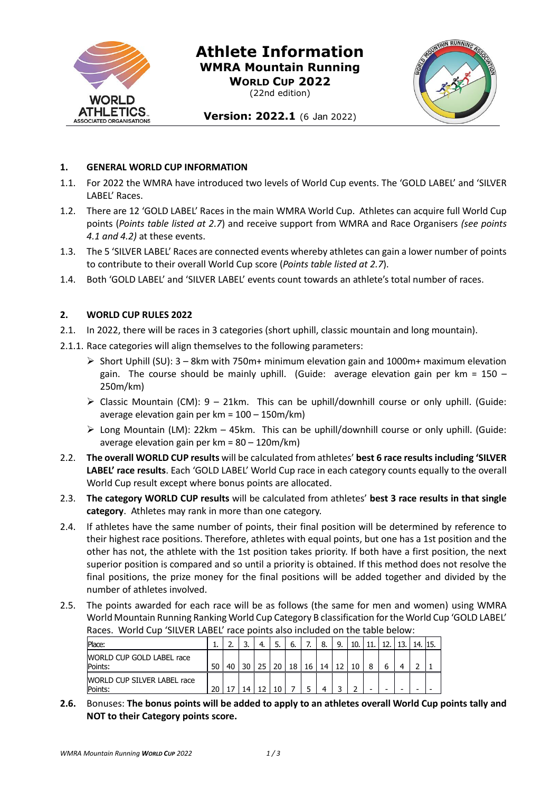

# **Athlete Information WMRA Mountain Running WORLD CUP 2022**

(22nd edition)



# Version: 2022.1 (6 Jan 2022)

#### **1. GENERAL WORLD CUP INFORMATION**

- 1.1. For 2022 the WMRA have introduced two levels of World Cup events. The 'GOLD LABEL' and 'SILVER LABEL' Races.
- 1.2. There are 12 'GOLD LABEL' Races in the main WMRA World Cup. Athletes can acquire full World Cup points (*Points table listed at 2.7*) and receive support from WMRA and Race Organisers *(see points 4.1 and 4.2)* at these events.
- 1.3. The 5 'SILVER LABEL' Races are connected events whereby athletes can gain a lower number of points to contribute to their overall World Cup score (*Points table listed at 2.7*).
- 1.4. Both 'GOLD LABEL' and 'SILVER LABEL' events count towards an athlete's total number of races.

## **2. WORLD CUP RULES 2022**

- 2.1. In 2022, there will be races in 3 categories (short uphill, classic mountain and long mountain).
- 2.1.1. Race categories will align themselves to the following parameters:
	- $\triangleright$  Short Uphill (SU): 3 8km with 750m+ minimum elevation gain and 1000m+ maximum elevation gain. The course should be mainly uphill. (Guide: average elevation gain per  $km = 150 -$ 250m/km)
	- $\triangleright$  Classic Mountain (CM): 9 21km. This can be uphill/downhill course or only uphill. (Guide: average elevation gain per km = 100 – 150m/km)
	- $\triangleright$  Long Mountain (LM): 22km 45km. This can be uphill/downhill course or only uphill. (Guide: average elevation gain per km = 80 – 120m/km)
- 2.2. **The overall WORLD CUP results** will be calculated from athletes' **best 6 race results including 'SILVER LABEL' race results**. Each 'GOLD LABEL' World Cup race in each category counts equally to the overall World Cup result except where bonus points are allocated.
- 2.3. **The category WORLD CUP results** will be calculated from athletes' **best 3 race results in that single category**. Athletes may rank in more than one category.
- 2.4. If athletes have the same number of points, their final position will be determined by reference to their highest race positions. Therefore, athletes with equal points, but one has a 1st position and the other has not, the athlete with the 1st position takes priority. If both have a first position, the next superior position is compared and so until a priority is obtained. If this method does not resolve the final positions, the prize money for the final positions will be added together and divided by the number of athletes involved.
- 2.5. The points awarded for each race will be as follows (the same for men and women) using WMRA World Mountain Running Ranking World Cup Category B classification for the World Cup 'GOLD LABEL' Races. World Cup 'SILVER LABEL' race points also included on the table below:

| Place:                                        |    | <u></u> | J. | 4. | J. | ь. | –  | 8. | 10. |   | 10 | 13 | 15. |
|-----------------------------------------------|----|---------|----|----|----|----|----|----|-----|---|----|----|-----|
| WORLD CUP GOLD LABEL race<br>Points:          | 50 | 40      | 30 | つち | 20 | 18 | 16 | 14 | 10  | 8 |    |    |     |
| <b>WORLD CUP SILVER LABEL race</b><br>Points: | 20 |         |    |    |    |    |    |    |     | - |    | -  |     |

**2.6.** Bonuses: **The bonus points will be added to apply to an athletes overall World Cup points tally and NOT to their Category points score.**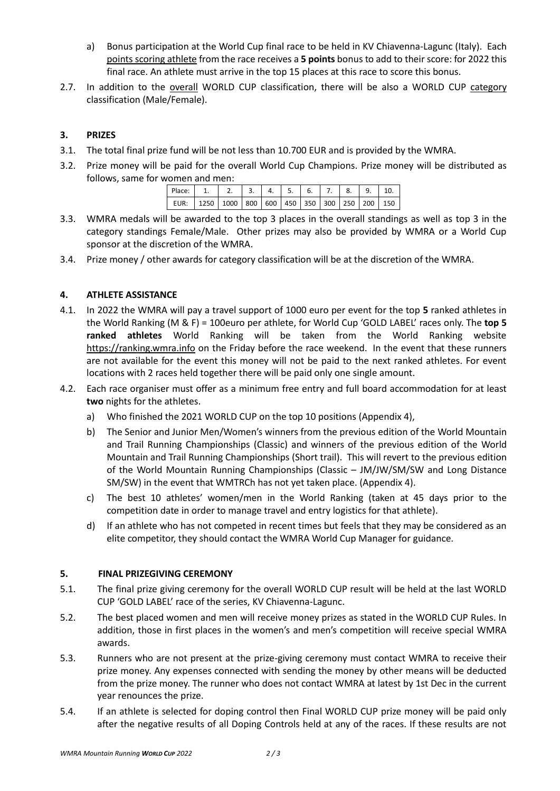- a) Bonus participation at the World Cup final race to be held in KV Chiavenna-Lagunc (Italy). Each points scoring athlete from the race receives a **5 points** bonus to add to their score: for 2022 this final race. An athlete must arrive in the top 15 places at this race to score this bonus.
- 2.7. In addition to the overall WORLD CUP classification, there will be also a WORLD CUP category classification (Male/Female).

# **3. PRIZES**

- 3.1. The total final prize fund will be not less than 10.700 EUR and is provided by the WMRA.
- 3.2. Prize money will be paid for the overall World Cup Champions. Prize money will be distributed as follows, same for women and men:

| Place:   1.   2.   3.   4.   5.   6.   7.   8.   9.   10.        |  |  |  |  |  |
|------------------------------------------------------------------|--|--|--|--|--|
| EUR: 1250   1000   800   600   450   350   300   250   200   150 |  |  |  |  |  |

- 3.3. WMRA medals will be awarded to the top 3 places in the overall standings as well as top 3 in the category standings Female/Male. Other prizes may also be provided by WMRA or a World Cup sponsor at the discretion of the WMRA.
- 3.4. Prize money / other awards for category classification will be at the discretion of the WMRA.

## **4. ATHLETE ASSISTANCE**

- 4.1. In 2022 the WMRA will pay a travel support of 1000 euro per event for the top **5** ranked athletes in the World Ranking (M & F) = 100euro per athlete, for World Cup 'GOLD LABEL' races only. The **top 5 ranked athletes** World Ranking will be taken from the World Ranking website [https://ranking.wmra.info](https://ranking.wmra.info/) on the Friday before the race weekend. In the event that these runners are not available for the event this money will not be paid to the next ranked athletes. For event locations with 2 races held together there will be paid only one single amount.
- 4.2. Each race organiser must offer as a minimum free entry and full board accommodation for at least **two** nights for the athletes.
	- a) Who finished the 2021 WORLD CUP on the top 10 positions (Appendix 4),
	- b) The Senior and Junior Men/Women's winners from the previous edition of the World Mountain and Trail Running Championships (Classic) and winners of the previous edition of the World Mountain and Trail Running Championships (Short trail). This will revert to the previous edition of the World Mountain Running Championships (Classic – JM/JW/SM/SW and Long Distance SM/SW) in the event that WMTRCh has not yet taken place. (Appendix 4).
	- c) The best 10 athletes' women/men in the World Ranking (taken at 45 days prior to the competition date in order to manage travel and entry logistics for that athlete).
	- d) If an athlete who has not competed in recent times but feels that they may be considered as an elite competitor, they should contact the WMRA World Cup Manager for guidance.

#### **5. FINAL PRIZEGIVING CEREMONY**

- 5.1. The final prize giving ceremony for the overall WORLD CUP result will be held at the last WORLD CUP 'GOLD LABEL' race of the series, KV Chiavenna-Lagunc.
- 5.2. The best placed women and men will receive money prizes as stated in the WORLD CUP Rules. In addition, those in first places in the women's and men's competition will receive special WMRA awards.
- 5.3. Runners who are not present at the prize-giving ceremony must contact WMRA to receive their prize money. Any expenses connected with sending the money by other means will be deducted from the prize money. The runner who does not contact WMRA at latest by 1st Dec in the current year renounces the prize.
- 5.4. If an athlete is selected for doping control then Final WORLD CUP prize money will be paid only after the negative results of all Doping Controls held at any of the races. If these results are not